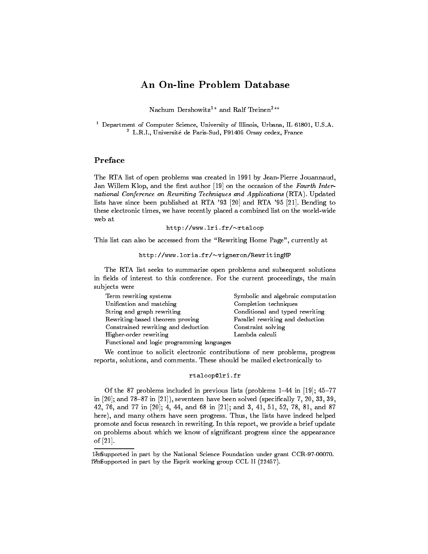# An On-line Problem Database

Nachum Dershowitz<sup>1\*</sup> and Ralf Treinen<sup>2\*\*</sup>

 $\,$  - Department of Computer Science, University of Illinois, Urbana, IL 61801, U.S.A.  $\,$ <sup>2</sup> L.R.I., Universite de Paris-Sud, F91405 Orsay cedex, France

# Preface

The RTA list of open problems was created in 1991 by Jean-Pierre Jouannaud, Jan Willem Klop, and the first author [19] on the occasion of the Fourth International Conference on Rewriting Techniques and Applications (RTA). Updated lists have since been published at RTA '93 [20] and RTA '95 [21]. Bending to these electronic times, we have recently placed a combined list on the world-wide web at

# http://www.lri.fr/~rtaloop

This list can also be accessed from the "Rewriting Home Page", currently at

# http://www.loria.fr/~vigneron/RewritingHP

The RTA list seeks to summarize open problems and subsequent solutions in fields of interest to this conference. For the current proceedings, the main subjects were

| Term rewriting systems                     | Symbolic and algebraic computation |
|--------------------------------------------|------------------------------------|
| Unification and matching                   | Completion techniques              |
| String and graph rewriting                 | Conditional and typed rewriting    |
| Rewriting-based theorem proving            | Parallel rewriting and deduction   |
| Constrained rewriting and deduction        | Constraint solving                 |
| Higher-order rewriting                     | Lambda calculi                     |
| Functional and logic programming languages |                                    |

We continue to solicit electronic contributions of new problems, progress reports, solutions, and comments. These should be mailed electronically to

### rtaloop@lri.fr

Of the 87 problems included in previous lists (problems  $1-44$  in [19];  $45-77$ in  $[20]$ ; and  $78{-}87$  in  $[21]$ ), seventeen have been solved (specifically 7, 20, 33, 39, 42, 76, and 77 in [20]; 4, 44, and 68 in [21]; and 3, 41, 51, 52, 78, 81, and 87 here), and many others have seen progress. Thus, the lists have indeed helped promote and focus research in rewriting. In this report, we provide a brief update on problems about which we know of significant progress since the appearance of [21].

<sup>1</sup>ěm upported in part by the National Science Foundation under grant CCR-97-00070. 1em?? Supported in part by the Esprit working group CCL II (22457).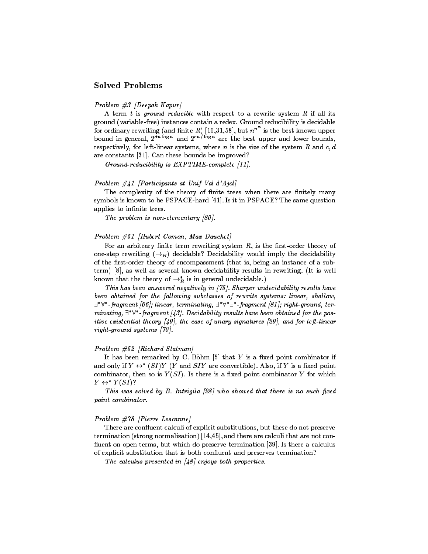# Solved Problems

# Problem  $\#3$  [Deepak Kapur]

A term  $t$  is ground reducible with respect to a rewrite system  $R$  if all its ground (variable-free) instances contain a redex. Ground reducibility is decidable for ordinary rewriting (and finite  $R$ ) [10,31,58], but  $n^{n}$  is the best known upper bound in general,  $2^{m}$   $\sim$   $6^{m}$  and  $2^{m}$   $\sim$   $6^{m}$  are the best upper and lower bounds, respectively, for left-linear systems, where n is the size of the system R and  $c, d$ are constants [31]. Can these bounds be improved?

Ground-reducibility is  $EXPTIME-complete [11].$ 

# Problem #41 [Participants at Unif Val d'Ajol]

The complexity of the theory of finite trees when there are finitely many symbols is known to be PSPACE-hard [41]. Is it in PSPACE? The same question applies to infinite trees.

The problem is non-elementary [80].

### Problem #51 [Hubert Comon, Max Dauchet]

For an arbitrary finite term rewriting system  $R$ , is the first-order theory of one-step rewriting  $(\rightarrow_R)$  decidable? Decidability would imply the decidability of the first-order theory of encompassment (that is, being an instance of a subterm) [8], as well as several known decidability results in rewriting. (It is well known that the theory of  $\rightarrow_R^*$  is in general undecidable.)

This has been answered negatively in [75]. Sharper undecidability results have been obtained for the following subclasses of rewrite systems: linear, shallow,  $\exists^*\forall^*$ -fragment [66]; linear, terminating,  $\exists^*\forall^*\exists^*$ -fragment [81]; right-ground, terminating,  $\exists^*\forall^*$ -fragment [43]. Decidability results have been obtained for the positive existential theory  $[49]$ , the case of unary signatures  $[29]$ , and for left-linear right-ground systems [70].

### Problem #52 [Richard Statman]

It has been remarked by C. Böhm  $[5]$  that Y is a fixed point combinator if and only if  $Y \leftrightarrow Y$  (SI)Y (Y and SIY are convertible). Also, if Y is a fixed point combinator, then so is  $Y(SI)$ . Is there is a fixed point combinator Y for which  $Y \leftrightarrow Y(SI)$ ?

This was solved by  $B$ . Intrigila  $[28]$  who showed that there is no such fixed point combinator.

### Problem #78 [Pierre Lescanne]

There are confluent calculi of explicit substitutions, but these do not preserve termination (strong normalization) [14,45], and there are calculi that are not con fluent on open terms, but which do preserve termination [39]. Is there a calculus of explicit substitution that is both confluent and preserves termination?

The calculus presented in  $\left[48\right]$  enjoys both properties.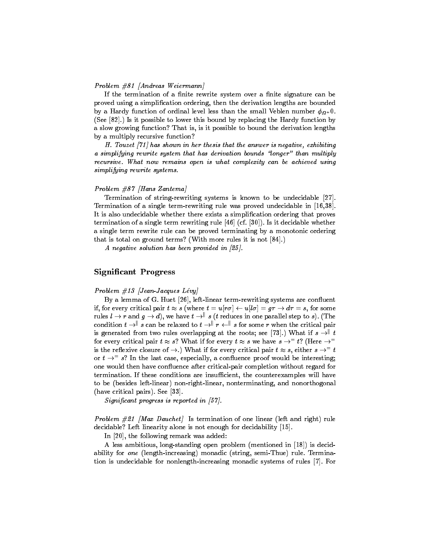### Problem #81 [Andreas Weiermann]

If the termination of a finite rewrite system over a finite signature can be proved using a simplication ordering, then the derivation lengths are bounded  $\mathcal{L}_f$  a hardy function of ordinal level less than the small vesion number  $\varphi_M$ .  $\mathcal{L}_f$ (See [82].) Is it possible to lower this bound by replacing the Hardy function by a slow growing function? That is, is it possible to bound the derivation lengths by a multiply recursive function?

H. Touzet [71] has shown in her thesis that the answer is negative, exhibiting a simplifying rewrite system that has derivation bounds "longer" than multiply recursive. What now remains open is what complexity can be achieved using simplifying rewrite systems.

### Problem #87 [Hans Zantema]

Termination of string-rewriting systems is known to be undecidable [27]. Termination of a single term-rewriting rule was proved undecidable in [16,38]. It is also undecidable whether there exists a simplication ordering that proves termination of a single term rewriting rule [46] (cf. [30]). Is it decidable whether a single term rewrite rule can be proved terminating by a monotonic ordering that is total on ground terms? (With more rules it is not [84].)

A negative solution has been provided in [25].

# Signicant Progress

#### Problem  $\#13$  [Jean-Jacques Lévy]

By a lemma of G. Huet [26], left-linear term-rewriting systems are confluent if, for every critical pair  $t \approx s$  (where  $t = u[r\sigma] \leftarrow u[l\sigma] = g\tau \rightarrow d\tau = s$ , for some rules  $l \to r$  and  $g \to d$ ), we have  $t \to \perp^d s$  (t reduces in one parallel step to s). (The condition  $t \to \rVert s$  can be relaxed to  $t \to \rVert r \leftarrow \rVert s$  for some r when the critical pair is generated from two rules overlapping at the roots; see [73].) What if  $s \rightarrow "t$ for every critical pair  $t \approx s$ ? What if for every  $t \approx s$  we have  $s \rightarrow^{-} t$ ? (Here  $\rightarrow^{-}$ is the reflexive closure of  $\rightarrow$ .) What if for every critical pair  $t \approx s$ , either  $s \rightarrow$   $\rightarrow$  t or  $t \to -s$ ? In the last case, especially, a confluence proof would be interesting; one would then have confluence after critical-pair completion without regard for termination. If these conditions are insufficient, the counterexamples will have to be (besides left-linear) non-right-linear, nonterminating, and nonorthogonal (have critical pairs). See [33].

Significant progress is reported in  $[57]$ .

Problem  $#21$  [Max Dauchet] Is termination of one linear (left and right) rule decidable? Left linearity alone is not enough for decidability [15].

In [20], the following remark was added:

A less ambitious, long-standing open problem (mentioned in [18]) is decidability for one (length-increasing) monadic (string, semi-Thue) rule. Termination is undecidable for nonlength-increasing monadic systems of rules [7]. For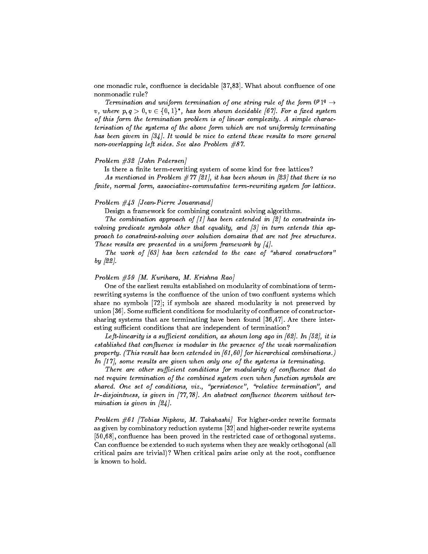one monadic rule, confluence is decidable [37,83]. What about confluence of one nonmonadic rule?

Termination and uniform termination of one string rule of the form  $0^p1^q \rightarrow$ v, where  $p, q > 0, v \in \{0, 1\}^*$ , has been shown decidable [67]. For a fixed system of this form the termination problem is of linear complexity. A simple characterisation of the systems of the above form which are not uniformly terminating has been givem in [34]. It would be nice to extend these results to more general non-overlapping left sides. See also Problem #87.

# Problem #32 [John Pedersen]

Is there a finite term-rewriting system of some kind for free lattices?

As mentioned in Problem  $\#77$  [21], it has been shown in [23] that there is no finite, normal form, associative-commutative term-rewriting system for lattices.

### Problem #43 [Jean-Pierre Jouannaud]

Design a framework for combining constraint solving algorithms.

The combination approach of  $\lfloor 1 \rfloor$  has been extended in  $\lfloor 2 \rfloor$  to constraints involving predicate symbols other that equality, and  $\lceil 3 \rceil$  in turn extends this approach to constraint-solving over solution domains that are not free structures. These results are presented in a uniform framework by  $\lbrack 4 \rbrack$ .

The work of  $[63]$  has been extended to the case of "shared constructors" by [22].

# Problem  $#59$  [M. Kurihara, M. Krishna Rao]

One of the earliest results established on modularity of combinations of termrewriting systems is the confluence of the union of two confluent systems which share no symbols [72]; if symbols are shared modularity is not preserved by union [36]. Some sufficient conditions for modularity of confluence of constructorsharing systems that are terminating have been found [36,47]. Are there interesting sufficient conditions that are independent of termination?

Left-linearity is a sufficient condition, as shown long ago in [62]. In [52], it is established that confluence is modular in the presence of the weak normalization property. (This result has been extended in [61,60] for hierarchical combinations.) In  $[17]$ , some results are given when only one of the systems is terminating.

There are other sufficient conditions for modularity of confluence that do not require termination of the combined system even when function symbols are shared. One set of conditions, viz., "persistence", "relative termination", and  $lr$ -disjointness, is given in  $[77,78]$ . An abstract confluence theorem without termination is given in [24].

Problem  $#61$  [Tobias Nipkow, M. Takahashi] For higher-order rewrite formats as given by combinatory reduction systems [32] and higher-order rewrite systems [50,68], confluence has been proved in the restricted case of orthogonal systems. Can confluence be extended to such systems when they are weakly orthogonal (all critical pairs are trivial)? When critical pairs arise only at the root, con
uence is known to hold.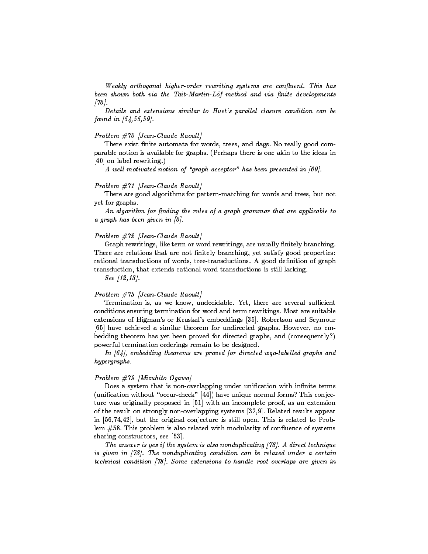Weakly orthogonal higher-order rewriting systems are confluent. This has been shown both via the Tait-Martin-Löf method and via finite developments  $[76]$ .

Details and extensions similar to Huet's parallel closure condition can be found in  $[54, 55, 59]$ .

### Problem #70 [Jean-Claude Raoult]

There exist finite automata for words, trees, and dags. No really good comparable notion is available for graphs. (Perhaps there is one akin to the ideas in [40] on label rewriting.)

A well motivated notion of "graph acceptor" has been presented in  $[69]$ .

### $Problem \#71$  [Jean-Claude Raoult]

There are good algorithms for pattern-matching for words and trees, but not yet for graphs.

An algorithm for finding the rules of a graph grammar that are applicable to a graph has been given in  $[6]$ .

### Problem  $#72$  [Jean-Claude Raoult]

Graph rewritings, like term or word rewritings, are usually finitely branching. There are relations that are not finitely branching, yet satisfy good properties: rational transductions of words, tree-transductions. A good definition of graph transduction, that extends rational word transductions is still lacking.

See [12,13].

#### $Problem \#73$  [Jean-Claude Raoult]

Termination is, as we know, undecidable. Yet, there are several sufficient conditions ensuring termination for word and term rewritings. Most are suitable extensions of Higman's or Kruskal's embeddings [35]. Robertson and Seymour [65] have achieved a similar theorem for undirected graphs. However, no embedding theorem has yet been proved for directed graphs, and (consequently?) powerful termination orderings remain to be designed.

In  $[64]$ , embedding theorems are proved for directed wgo-labelled graphs and hypergraphs.

### Problem #79 [Mizuhito Ogawa]

Does a system that is non-overlapping under unification with infinite terms (unification without "occur-check"  $[44]$ ) have unique normal forms? This conjecture was originally proposed in [51] with an incomplete proof, as an extension of the result on strongly non-overlapping systems [32,9]. Related results appear in [56,74,42], but the original conjecture is still open. This is related to Problem #58. This problem is also related with modularity of confluence of systems sharing constructors, see [53].

The answer is yes if the system is also nonduplicating  $[78]$ . A direct technique is given in [78]. The nonduplicating condition can be relaxed under a certain technical condition  $[78]$ . Some extensions to handle root overlaps are given in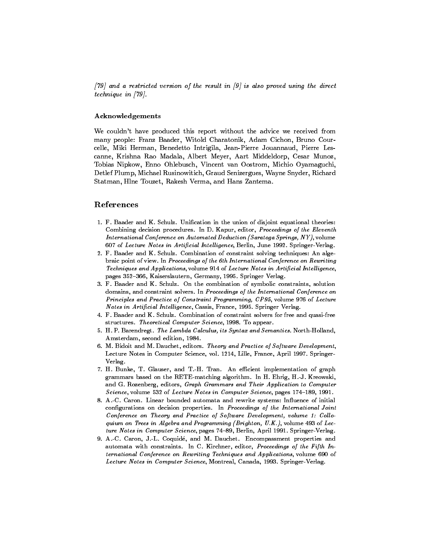$[79]$  and a restricted version of the result in  $[9]$  is also proved using the direct technique in [79].

# Acknowledgements

We couldn't have produced this report without the advice we received from many people: Franz Baader, Witold Charatonik, Adam Cichon, Bruno Courcelle, Miki Herman, Benedetto Intrigila, Jean-Pierre Jouannaud, Pierre Lescanne, Krishna Rao Madala, Albert Meyer, Aart Middeldorp, Cesar Munoz, Tobias Nipkow, Enno Ohlebusch, Vincent van Oostrom, Michio Oyamaguchi, Detlef Plump, Michael Rusinowitich, Graud Senizergues, Wayne Snyder, Richard Statman, Hlne Touzet, Rakesh Verma, and Hans Zantema.

# References

- 1. F. Baader and K. Schulz. Unication in the union of disjoint equational theories: Combining decision procedures. In D. Kapur, editor, Proceedings of the Eleventh International Conference on Automated Deduction (Saratoga Springs, NY), volume 607 of Lecture Notes in Artificial Intelligence, Berlin, June 1992. Springer-Verlag.
- 2. F. Baader and K. Schulz. Combination of constraint solving techniques: An algebraic point of view. In Proceedings of the 6th International Conference on Rewriting Techniques and Applications, volume 914 of Lecture Notes in Artificial Intelligence, pages 352-366, Kaiserslautern, Germany, 1995. Springer Verlag.
- 3. F. Baader and K. Schulz. On the combination of symbolic constraints, solution domains, and constraint solvers. In Proceedings of the International Conference on Principles and Practice of Constraint Programming, CP95, volume 976 of Lecture Notes in Artificial Intelligence, Cassis, France, 1995. Springer Verlag.
- 4. F. Baader and K. Schulz. Combination of constraint solvers for free and quasi-free structures. Theoretical Computer Science, 1998. To appear.
- 5. H. P. Barendregt. The Lambda Calculus, its Syntax and Semantics. North-Holland, Amsterdam, second edition, 1984.
- 6. M. Bidoit and M. Dauchet, editors. Theory and Practice of Software Development, Lecture Notes in Computer Science, vol. 1214, Lille, France, April 1997. Springer-Verlag.
- 7. H. Bunke, T. Glauser, and T.-H. Tran. An efficient implementation of graph grammars based on the RETE-matching algorithm. In H. Ehrig, H.-J. Kreowski, and G. Rozenberg, editors, Graph Grammars and Their Application to Computer Science, volume 532 of Lecture Notes in Computer Science, pages 174-189, 1991.
- 8. A.-C. Caron. Linear bounded automata and rewrite systems: Influence of initial configurations on decision properties. In Proceedings of the International Joint Conference on Theory and Practice of Software Development, volume 1: Colloquium on Trees in Algebra and Programming (Brighton, U.K.), volume 493 of Lecture Notes in Computer Science, pages 74-89, Berlin, April 1991. Springer-Verlag.
- 9. A.-C. Caron, J.-L. Coquide, and M. Dauchet. Encompassment properties and automata with constraints. In C. Kirchner, editor, Proceedings of the Fifth International Conference on Rewriting Techniques and Applications, volume 690 of Lecture Notes in Computer Science, Montreal, Canada, 1993. Springer-Verlag.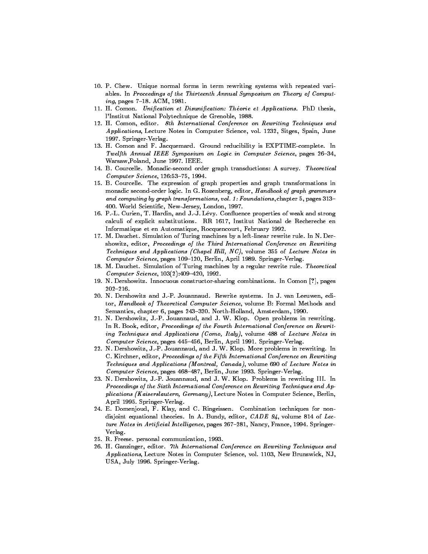- 10. P. Chew. Unique normal forms in term rewriting systems with repeated variables. In Proceedings of the Thirteenth Annual Symposium on Theory of Comput $ing, pages 7-18. ACM, 1981.$
- 11. H. Comon. Unification et Disunification: Théorie et Applications. PhD thesis, l'Institut National Polytechnique de Grenoble, 1988.
- 12. H. Comon, editor. 8th International Conference on Rewriting Techniques and Applications, Lecture Notes in Computer Science, vol. 1232, Sitges, Spain, June 1997. Springer-Verlag.
- 13. H. Comon and F. Jacquemard. Ground reducibility is EXPTIME-complete. In Twelfth Annual IEEE Symposium on Logic in Computer Science, pages 26-34, Warsaw,Poland, June 1997. IEEE.
- 14. B. Courcelle. Monadic-second order graph transductions: A survey. Theoretical  $Computer\, Science,$   $126:53-75,$  1994.
- 15. B. Courcelle. The expression of graph properties and graph transformations in monadic second-order logic. In G. Rozenberg, editor, Handbook of graph grammars and computing by graph transformations, vol. 1: Foundations, chapter 5, pages  $313-$ 400. World Scientic, New-Jersey, London, 1997.
- 16. P.-L. Curien, T. Hardin, and J.-J. Lévy. Confluence properties of weak and strong calculi of explicit substitutions. RR 1617, Institut National de Rechereche en Informatique et en Automatique, Rocquencourt, February 1992.
- 17. M. Dauchet. Simulation of Turing machines by a left-linear rewrite rule. In N. Dershowitz, editor, Proceedings of the Third International Conference on Rewriting Techniques and Applications (Chapel Hill,  $NC$ ), volume 355 of Lecture Notes in Computer Science, pages 109-120, Berlin, April 1989. Springer-Verlag.
- 18. M. Dauchet. Simulation of Turing machines by a regular rewrite rule. Theoretical  $Computer Science, 103(2):409-420, 1992.$
- 19. N. Dershowitz. Innocuous constructor-sharing combinations. In Comon [?], pages  $202 - 216$
- 20. N. Dershowitz and J.-P. Jouannaud. Rewrite systems. In J. van Leeuwen, editor, Handbook of Theoretical Computer Science, volume B: Formal Methods and Semantics, chapter 6, pages 243-320. North-Holland, Amsterdam, 1990.
- 21. N. Dershowitz, J.-P. Jouannaud, and J. W. Klop. Open problems in rewriting. In R. Book, editor, Proceedings of the Fourth International Conference on Rewriting Techniques and Applications (Como, Italy), volume 488 of Lecture Notes in Computer Science, pages  $445-456$ , Berlin, April 1991. Springer-Verlag.
- 22. N. Dershowitz, J.-P. Jouannaud, and J. W. Klop. More problems in rewriting. In C. Kirchner, editor, Proceedings of the Fifth International Conference on Rewriting Techniques and Applications (Montreal, Canada), volume 690 of Lecture Notes in Computer Science, pages  $468-487$ , Berlin, June 1993. Springer-Verlag.
- 23. N. Dershowitz, J.-P. Jouannaud, and J. W. Klop. Problems in rewriting III. In Proceedings of the Sixth International Conference on Rewriting Techniques and Applications (Kaiserslautern, Germany), Lecture Notes in Computer Science, Berlin, April 1995. Springer-Verlag.
- 24. E. Domenjoud, F. Klay, and C. Ringeissen. Combination techniques for nondisjoint equational theories. In A. Bundy, editor, CADE 94, volume 814 of Lecture Notes in Artificial Intelligence, pages  $267-281$ , Nancy, France, 1994. Springer-Verlag.
- 25. R. Freese. personal communication, 1993.
- 26. H. Ganzinger, editor. 7th International Conference on Rewriting Techniques and Applications, Lecture Notes in Computer Science, vol. 1103, New Brunswick, NJ, USA, July 1996. Springer-Verlag.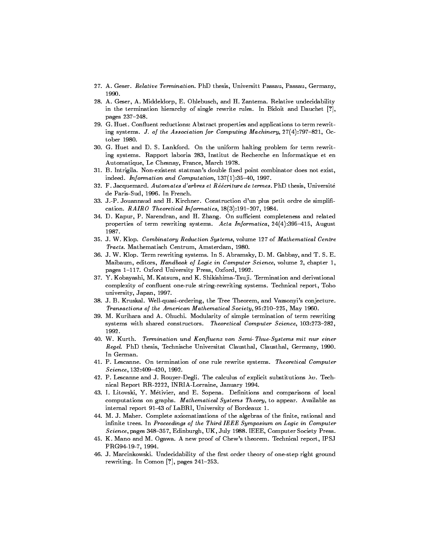- 27. A. Geser. Relative Termination. PhD thesis, Universitt Passau, Passau, Germany, 1990.
- 28. A. Geser, A. Middeldorp, E. Ohlebusch, and H. Zantema. Relative undecidability in the termination hierarchy of single rewrite rules. In Bidoit and Dauchet [?], pages 237-248.
- 29. G. Huet. Confluent reductions: Abstract properties and applications to term rewriting systems. J. of the Association for Computing Machinery,  $27(4)$ :797-821, October 1980.
- 30. G. Huet and D. S. Lankford. On the uniform halting problem for term rewriting systems. Rapport laboria 283, Institut de Recherche en Informatique et en Automatique, Le Chesnay, France, March 1978.
- 31. B. Intrigila. Non-existent statman's double fixed point combinator does not exist, indeed. Information and Computation,  $137(1):35-40$ , 1997.
- 32. F. Jacquemard. Automates d'arbres et Réécriture de termes. PhD thesis, Université de Paris-Sud, 1996. In French.
- 33. J.-P. Jouannaud and H. Kirchner. Construction d'un plus petit ordre de simpli cation. RAIRO Theoretical Informatics,  $18(3):191-207$ , 1984.
- 34. D. Kapur, P. Narendran, and H. Zhang. On sufficient completeness and related properties of term rewriting systems. Acta Informatica,  $24(4):395-415$ , August 1987.
- 35. J. W. Klop. Combinatory Reduction Systems, volume 127 of Mathematical Centre Tracts. Mathematisch Centrum, Amsterdam, 1980.
- 36. J. W. Klop. Term rewriting systems. In S. Abramsky, D. M. Gabbay, and T. S. E. Maibaum, editors, Handbook of Logic in Computer Science, volume 2, chapter 1, pages 1-117. Oxford University Press, Oxford, 1992.
- 37. Y. Kobayashi, M. Katsura, and K. Shikishima-Tsuji. Termination and derivational complexity of confluent one-rule string-rewriting systems. Technical report, Toho university, Japan, 1997.
- 38. J. B. Kruskal. Well-quasi-ordering, the Tree Theorem, and Vazsonyi's conjecture. Transactions of the American Mathematical Society, 95:210-225, May 1960.
- 39. M. Kurihara and A. Ohuchi. Modularity of simple termination of term rewriting systems with shared constructors. Theoretical Computer Science, 103:273-282, 1992.
- 40. W. Kurth. Termination und Konfluenz von Semi-Thue-Systems mit nur einer Regel. PhD thesis, Technische Universitat Clausthal, Clausthal, Germany, 1990. In German.
- 41. P. Lescanne. On termination of one rule rewrite systems. Theoretical Computer  $Science, 132:409-420, 1992.$
- 42. P. Lescanne and J. Rouyer-Degli. The calculus of explicit substitutions  $\lambda v$ . Technical Report RR-2222, INRIA-Lorraine, January 1994.
- 43. I. Litovski, Y. Métivier, and E. Sopena. Definitions and comparisons of local computations on graphs. Mathematical Systems Theory, to appear. Available as internal report 91-43 of LaBRI, University of Bordeaux 1.
- 44. M. J. Maher. Complete axiomatizations of the algebras of the finite, rational and infinite trees. In Proceedings of the Third IEEE Symposium on Logic in Computer Science, pages 348-357, Edinburgh, UK, July 1988. IEEE, Computer Society Press.
- 45. K. Mano and M. Ogawa. A new proof of Chew's theorem. Technical report, IPSJ PRG94-19-7, 1994.
- 46. J. Marcinkowski. Undecidability of the first order theory of one-step right ground rewriting. In Comon  $[?]$ , pages 241-253.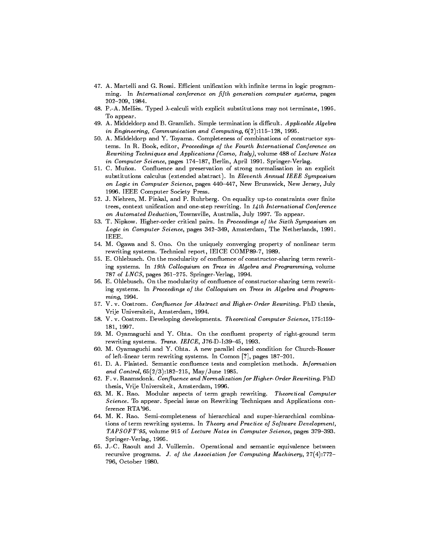- 47. A. Martelli and G. Rossi. Efficient unification with infinite terms in logic programming. In International conference on fifth generation computer systems, pages 202-209, 1984.
- 48. P.-A. Melliès. Typed  $\lambda$ -calculi with explicit substitutions may not terminate, 1995. To appear. To appear.
- 49. A. Middeldorp and B. Gramlich. Simple termination is difficult. Applicable Algebra in Engineering, Communication and Computing,  $6(2):115{-}128$ , 1995.
- 50. A. Middeldorp and Y. Toyama. Completeness of combinations of constructor systems. In R. Book, editor, Proceedings of the Fourth International Conference on Rewriting Techniques and Applications (Como, Italy), volume 488 of Lecture Notes in Computer Science, pages 174-187, Berlin, April 1991. Springer-Verlag.
- 51. C. Muñoz. Confluence and preservation of strong normalisation in an explicit substitutions calculus (extended abstract). In Eleventh Annual IEEE Symposium on Logic in Computer Science, pages 440-447, New Brunswick, New Jersey, July 1996. IEEE Computer Society Press.
- 52. J. Niehren, M. Pinkal, and P. Ruhrberg. On equality up-to constraints over finite trees, context unification and one-step rewriting. In  $14$ th International Conference on Automated Deduction, Townsville, Australia, July 1997. To appear.
- 53. T. Nipkow. Higher-order critical pairs. In Proceedings of the Sixth Symposium on Logic in Computer Science, pages 342-349, Amsterdam, The Netherlands, 1991. IEEE.
- 54. M. Ogawa and S. Ono. On the uniquely converging property of nonlinear term rewriting systems. Technical report, IEICE COMP89-7, 1989.
- 55. E. Ohlebusch. On the modularity of con
uence of constructor-sharing term rewriting systems. In 19th Colloquium on Trees in Algebra and Programming, volume 787 of  $LNCS$ , pages 261-275. Springer-Verlag, 1994.
- 56. E. Ohlebusch. On the modularity of confluence of constructor-sharing term rewriting systems. In Proceedings of the Colloquium on Trees in Algebra and Programming, 1994.
- 57. V. v. Oostrom. Confluence for Abstract and Higher-Order Rewriting. PhD thesis, Vrije Universiteit, Amsterdam, 1994.
- 58. V. v. Oostrom. Developing developments. Theoretical Computer Science, 175:159-181, 1997.
- 59. M. Oyamaguchi and Y. Ohta. On the con
uent property of right-ground term rewriting systems. Trans. IEICE, J76-D-I:39-45, 1993.
- 60. M. Oyamaguchi and Y. Ohta. A new parallel closed condition for Church-Rosser of left-linear term rewriting systems. In Comon [?], pages 187-201.
- 61. D. A. Plaisted. Semantic confluence tests and completion methods. *Information* and Control,  $65(2/3):182{-}215$ , May/June 1985.
- 62. F. v. Raamsdonk. Confluence and Normalization for Higher-Order Rewriting. PhD thesis, Vrije Universiteit, Amsterdam, 1996.
- 63. M. K. Rao. Modular aspects of term graph rewriting. Theoretical Computer Science. To appear. Special issue on Rewriting Techniques and Applications conference RTA'96.
- 64. M. K. Rao. Semi-completeness of hierarchical and super-hierarchical combinations of term rewriting systems. In Theory and Practice of Software Development, TAPSOFT'95, volume 915 of Lecture Notes in Computer Science, pages 379-393. Springer-Verlag, 1995.
- 65. J.-C. Raoult and J. Vuillemin. Operational and semantic equivalence between recursive programs. J. of the Association for Computing Machinery,  $27(4):772-$ 796, October 1980.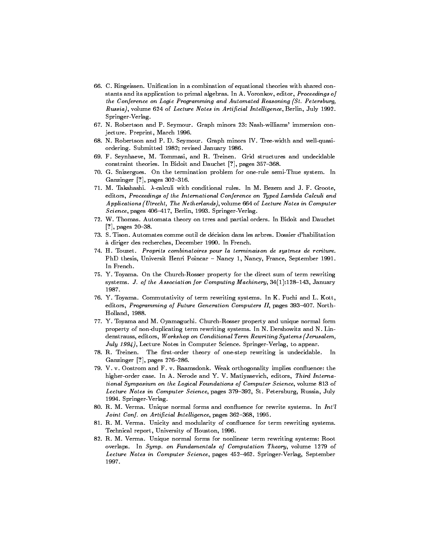- 66. C. Ringeissen. Unication in a combination of equational theories with shared constants and its application to primal algebras. In A. Voronkov, editor, Proceedings of the Conference on Logic Programming and Automated Reasoning (St. Petersburg, Russia), volume 624 of Lecture Notes in Artificial Intelligence, Berlin, July 1992. Springer-Verlag.
- 67. N. Robertson and P. Seymour. Graph minors 23: Nash-williams' immersion conjecture. Preprint, March 1996.
- 68. N. Robertson and P. D. Seymour. Graph minors IV. Tree-width and well-quasiordering. Submitted 1982; revised January 1986.
- 69. F. Seynhaeve, M. Tommasi, and R. Treinen. Grid structures and undecidable constraint theories. In Bidoit and Dauchet [?], pages 357-368.
- 70. G. Snizergues. On the termination problem for one-rule semi-Thue system. In Ganzinger [?], pages 302-316.
- 71. M. Takahashi.  $\lambda$ -calculi with conditional rules. In M. Bezem and J. F. Groote, editors, Proceedings of the International Conference on Typed Lambda Calculi and Applications (Utrecht, The Netherlands), volume 664 of Lecture Notes in Computer Science, pages 406-417, Berlin, 1993. Springer-Verlag.
- 72. W. Thomas. Automata theory on trres and partial orders. In Bidoit and Dauchet  $[?]$ , pages 20-38.
- 73. S. Tison. Automates comme outil de decision dans les arbres. Dossier d'habilitation a diriger des recherches, December 1990. In French.
- 74. H. Touzet. Proprits combinatoires pour la terminaison de systmes de rcriture. PhD thesis, Universit Henri Poincar - Nancy 1, Nancy, France, September 1991. In French.
- 75. Y. Toyama. On the Church-Rosser property for the direct sum of term rewriting systems. J. of the Association for Computing Machinery,  $34(1):128{-}143$ , January
- 76. Y. Toyama. Commutativity of term rewriting systems. In K. Fuchi and L. Kott, editors, Programming of Future Generation Computers II, pages 393-407. North-Holland, 1988.
- 77. Y. Toyama and M. Oyamaguchi. Church-Rosser property and unique normal form property of non-duplicating term rewriting systems. In N. Dershowitz and N. Lindenstrauss, editors, Workshop on Conditional Term Rewriting Systems (Jerusalem, July 1994), Lecture Notes in Computer Science. Springer-Verlag, to appear.
- 78. R. Treinen. The first-order theory of one-step rewriting is undecidable. In Ganzinger  $[?]$ , pages 276-286.
- 79. V. v. Oostrom and F. v. Raamsdonk. Weak orthogonality implies con
uence: the higher-order case. In A. Nerode and Y. V. Matiyasevich, editors, Third International Symposium on the Logical Foundations of Computer Science, volume 813 of Lecture Notes in Computer Science, pages 379-392, St. Petersburg, Russia, July 1994. Springer-Verlag.
- 80. R. M. Verma. Unique normal forms and confluence for rewrite systems. In Int'l Joint Conf. on Artificial Intelligence, pages 362-368, 1995.
- 81. R. M. Verma. Unicity and modularity of con
uence for term rewriting systems. Technical report, University of Houston, 1996.
- 82. R. M. Verma. Unique normal forms for nonlinear term rewriting systems: Root overlaps. In Symp. on Fundamentals of Computation Theory, volume 1279 of Lecture Notes in Computer Science, pages 452-462. Springer-Verlag, September 1997.